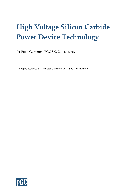## High Voltage Silicon Carbide Power Device Technology

Dr Peter Gammon, PGC SiC Consultancy

All rights reserved by Dr Peter Gammon, PGC SiC Consultancy.

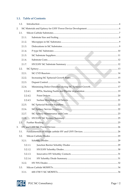## 1.1. Table of Contents

|    | 1.2.     |  |
|----|----------|--|
| 2. |          |  |
|    | 2.1.     |  |
|    | 2.1.1.   |  |
|    | 2.1.2.   |  |
|    | 2.1.3.   |  |
|    | 2.1.4.   |  |
|    | 2.1.5.   |  |
|    | 2.1.6.   |  |
|    | 2.1.7.   |  |
|    | 2.2.     |  |
|    | 2.2.1.   |  |
|    | 2.2.2.   |  |
|    | 2.2.3.   |  |
|    | 2.2.4.   |  |
|    | 2.2.4.1. |  |
|    | 2.2.4.2. |  |
|    | 2.2.4.3. |  |
|    | 2.2.5.   |  |
|    | 2.2.6.   |  |
|    | 2.2.7.   |  |
|    | 2.2.8.   |  |
|    | 2.3.     |  |
| 3. |          |  |
|    | 3.1.     |  |
|    | 3.2.     |  |
|    | 3.2.1.   |  |
|    | 3.2.1.1. |  |
|    | 3.2.1.2. |  |
|    | 3.2.1.3. |  |
|    | 3.2.1.4. |  |
|    | 3.2.2.   |  |
|    | 3.3.     |  |
|    | 3.3.1.   |  |

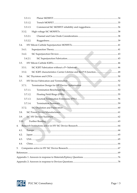| 3.3.1.1. |  |  |  |  |
|----------|--|--|--|--|
| 3.3.1.2. |  |  |  |  |
| 3.3.1.3. |  |  |  |  |
| 3.3.2.   |  |  |  |  |
| 3.3.2.1. |  |  |  |  |
| 3.3.2.2. |  |  |  |  |
| 3.4.     |  |  |  |  |
| 3.4.1.   |  |  |  |  |
| 3.4.2.   |  |  |  |  |
| 3.4.2.1. |  |  |  |  |
| 3.5.     |  |  |  |  |
| 3.5.1.   |  |  |  |  |
| 3.5.2.   |  |  |  |  |
| 3.6.     |  |  |  |  |
| 3.7.     |  |  |  |  |
| 3.7.1.   |  |  |  |  |
| 3.7.1.1. |  |  |  |  |
| 3.7.1.2. |  |  |  |  |
| 3.7.1.3. |  |  |  |  |
| 3.7.1.4. |  |  |  |  |
| 3.7.2.   |  |  |  |  |
| 3.8.     |  |  |  |  |
| 3.9.     |  |  |  |  |
| 3.10.    |  |  |  |  |
| 4.       |  |  |  |  |
| 4.1.     |  |  |  |  |
| 4.2.     |  |  |  |  |
| 4.3.     |  |  |  |  |
| 4.4.     |  |  |  |  |
| 5.       |  |  |  |  |
|          |  |  |  |  |
|          |  |  |  |  |
|          |  |  |  |  |

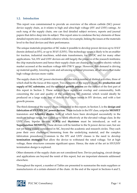## 1.2. Introduction

This report was commissioned to provide an overview of the silicon carbide (SiC) power device supply chain, as it relates to high and ultra-high voltage (HV and UHV) ratings. At each rung of the supply chain, one can find detailed subject reviews, reports and journal papers that delve deep into its subject. This report aims to condense the key elements of these detailed reports into a readable cohesive whole, for example, linking the issues at the materials level to the final devices and their performance.

The unique materials properties of SiC make it possible to develop power devices up to 10 kV (herein defined as HV), or up to 30 kV (UHV). This technology space is likely to be an enabler for traction, industrial machines, solid-state transformers, for HVDC and for many other applications. Yet, HV and UHV devices are still largely the preserve of the research institutes; the chip manufacturers and hence their supply chain are chasing the lucrative electric vehicle market accessed at the medium voltage 600-1700 V range. However, this demand is driving up material quality, lowering costs and advancing epitaxial processes, all advances that make high voltage devices more viable.

The supply chain in SiC power electronics divides into a number of distinct activities, three of which shall be the focus of this report. Two elements of the supply chain, the production and supply of SiC substrates, and the epitaxial growth process are the subject of the first part of this report in Section 2. These subjects have significant overlap and commonality, both concerning the cost and quality of the underlying SiC material, which would ideally be produced on a large scale, free of defects that cause issues in HV devices, and with a fast growth process.

The third element of the supply chain considered in this report, in Section 3, is the design and fabrication of HV/UHV SiC power devices. These include in the HV class, unipolar MOSFET transistors and Schottky diodes, both of which have been developed successfully in the medium voltage range, but scaled up to work effectively at the elevated voltage class. In the UHV class, bipolar devices, IGBTs and thyristors must be introduced, as well as Superjunction MOSFETs. These devices will be familiar to the Si power device user, but are not yet being widely considered in SiC, beyond the academic and research circles. They each pose their own challenges, stemming from the underlying material, and the complex fabrication procedures. Common to the HV and UHV classes is the need to develop termination strategies that allow the device to withstand the rated voltage. Yet at high voltage, these structures consume significant space. Hence, the state of the art in HV/UHV termination design is explored.

Other elements of the supply chain are not considered here. Device packaging, circuit design and applications are beyond the remit of this report, but are important elements addressed elsewhere.

Throughout the report, a number of Tables are presented to summarise the main suppliers or manufacturers of a certain element of the chain. At the end of the report in Sections 4 and 5,